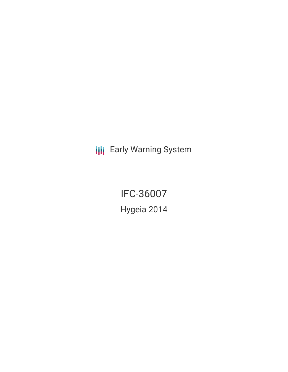**III** Early Warning System

IFC-36007 Hygeia 2014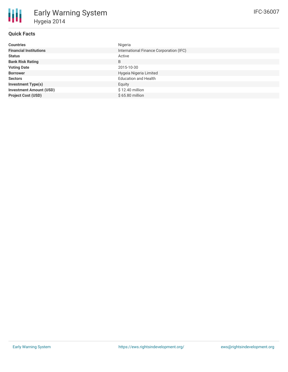| <b>Countries</b>               | Nigeria                                 |
|--------------------------------|-----------------------------------------|
| <b>Financial Institutions</b>  | International Finance Corporation (IFC) |
| <b>Status</b>                  | Active                                  |
| <b>Bank Risk Rating</b>        | B                                       |
| <b>Voting Date</b>             | 2015-10-30                              |
| <b>Borrower</b>                | Hygeia Nigeria Limited                  |
| <b>Sectors</b>                 | <b>Education and Health</b>             |
| <b>Investment Type(s)</b>      | Equity                                  |
| <b>Investment Amount (USD)</b> | \$12.40 million                         |
| <b>Project Cost (USD)</b>      | $$65.80$ million                        |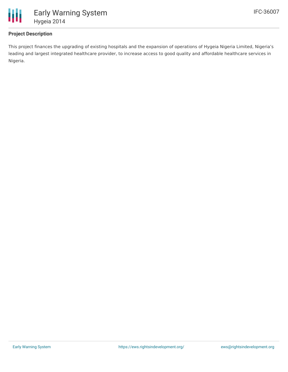

## **Project Description**

This project finances the upgrading of existing hospitals and the expansion of operations of Hygeia Nigeria Limited, Nigeria's leading and largest integrated healthcare provider, to increase access to good quality and affordable healthcare services in Nigeria.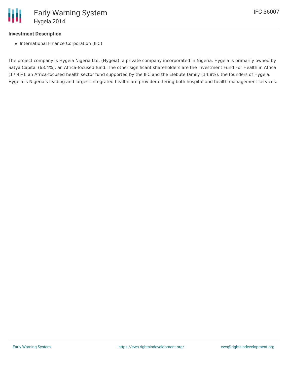## **Investment Description**

• International Finance Corporation (IFC)

The project company is Hygeia Nigeria Ltd. (Hygeia), a private company incorporated in Nigeria. Hygeia is primarily owned by Satya Capital (63.4%), an Africa-focused fund. The other significant shareholders are the Investment Fund For Health in Africa (17.4%), an Africa-focused health sector fund supported by the IFC and the Elebute family (14.8%), the founders of Hygeia. Hygeia is Nigeria's leading and largest integrated healthcare provider offering both hospital and health management services.